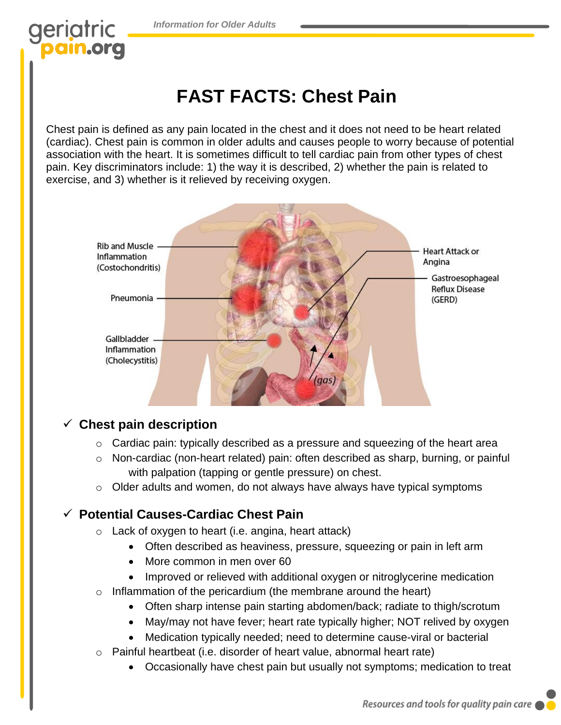*Information for Older Adults*

# geriatric

## **FAST FACTS: Chest Pain**

Chest pain is defined as any pain located in the chest and it does not need to be heart related (cardiac). Chest pain is common in older adults and causes people to worry because of potential association with the heart. It is sometimes difficult to tell cardiac pain from other types of chest pain. Key discriminators include: 1) the way it is described, 2) whether the pain is related to exercise, and 3) whether is it relieved by receiving oxygen.



#### ✓ **Chest pain description**

- o Cardiac pain: typically described as a pressure and squeezing of the heart area
- o Non-cardiac (non-heart related) pain: often described as sharp, burning, or painful with palpation (tapping or gentle pressure) on chest.
- $\circ$  Older adults and women, do not always have always have typical symptoms

#### ✓ **Potential Causes-Cardiac Chest Pain**

- o Lack of oxygen to heart (i.e. angina, heart attack)
	- Often described as heaviness, pressure, squeezing or pain in left arm
	- More common in men over 60
	- Improved or relieved with additional oxygen or nitroglycerine medication
- $\circ$  Inflammation of the pericardium (the membrane around the heart)
	- Often sharp intense pain starting abdomen/back; radiate to thigh/scrotum
	- May/may not have fever; heart rate typically higher; NOT relived by oxygen
	- Medication typically needed; need to determine cause-viral or bacterial
- $\circ$  Painful heartbeat (i.e. disorder of heart value, abnormal heart rate)
	- Occasionally have chest pain but usually not symptoms; medication to treat